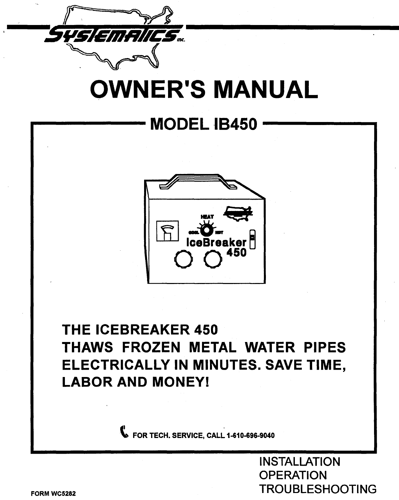

# **OWNER'S MANUAL**

## **MODEL 1B450**



## **THE ICEBREAKER 450 THAWS FROZEN METAL WATER PIPES ELECTRICALLY IN MINUTES. SAVE TIME, LABOR AND MONEY!**

 $\bullet$  FOR TECH. SERVICE, CALL 1-610-696-9040

INSTALLATION **OPERATION** TROUBLESHOOTING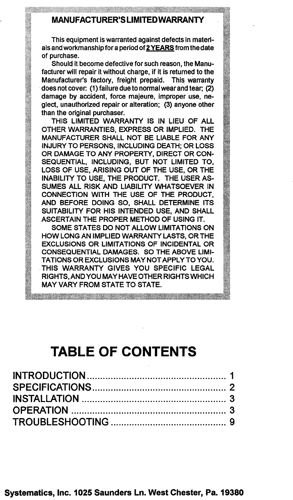### MANUFACTURER'S LIMITED WARRANTY

This equipment is warranted against defects in materials and workmanship for a period of 2YEARS from the date of purchase.

Should it become defective for such reason, the Manufacturer will repair it without charge. if it is returned to the Manufacturer's factory. freight prepaid. This warranty does not cover: (1) failure due to normal wear and tear; (2) damage by accident, force majeure. improper use. neglect. unauthorized repair or alteration; (3) anyone other than the original purchaser.

THIS LIMITED WARRANTY IS IN LIEU OF ALL OTHER WARRANTIES, EXPRESS OR IMPLIED. THE MANUFACTURER SHALL NOT BE LIABLE FOR ANY INJURY TO PERSONS. INCLUDING DEATH; OR LOSS OR DAMAGE TO ANY PROPERTY. DIRECT OR CON-SEQUENTIAL, INCLUDING, BUT NOT LIMITED TO, LOSS OF USE, ARISING OUT OF THE USE. OR THE INABILITY TO USE, THE PRODUCT. THE USER AS-SUMES ALL RISK AND LIABILITY WHATSOEVER IN CONNECTION WITH THE USE OF THE PRODUCT. AND BEFORE DOING SO, SHALL DETERMINE ITS SUITABILITY FOR HIS INTENDED USE. AND SHALL ASCERTAIN THE PROPER METHOD OF USING IT.

SOME STATES DO NOT ALLOW LIMITATIONS ON HOW LONG AN IMPLIED WARRANTY LASTS, OR THE EXCLUSIONS OR LIMITATIONS OF INCIDENTAL OR CONSEQUENTIAL DAMAGES. SO THE ABOVE L1MI-TA TIONS OR EXCLUSIONS MAY NOT APPLY TO YOU. THIS WARRANTY GIVES YOU SPECIFIC LEGAL RIGHTS, AND YOU MAY HAVE OTHER RIGHTS WHICH MAY VARY FROM STATE TO STATE.

## **TABLE OF CONTENTS**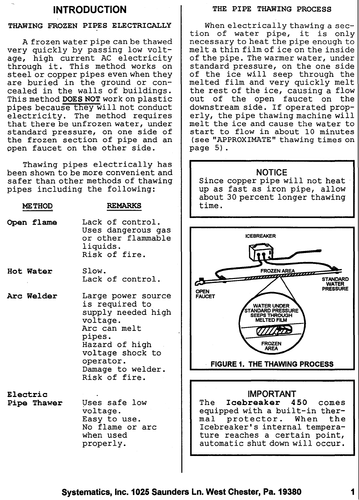### INTRODUCTION

### THAWING FROZEN PIPES ELECTRICALLY

A frozen water pipe can be thawed very quickly by passing low voltage, high current AC electricity through it. This method works on steel or copper pipes even when they are buried in the ground or concealed in the walls of buildings. This method DOES NOT work on plastic pipes because they will not conduct electricity. The method requires that there be unfrozen water, under standard pressure, on one side of the frozen section of pipe and an open faucet on the other side.

Thawing pipes electrically has been shown to be more convenient and safer than other methods of thawing pipes including the following:

### METHOD REMARKS

- Open flame Lack of control. Uses dangerous gas or other flammable liquids. Risk of fire.
- Hot Water Slow. Lack of control.
- Arc Welder Large power source is required to supply needed high voltage. Arc can melt pipes. Hazard of high voltage shock to operator. Damage to welder. Risk of fire.

Electric

Pipe Thawer Uses safe low voltage. Easy to use. No flame or arc when used properly.

### THE PIPE THAWING PROCESS

When electrically thawing a section of water pipe, it is only necessary to heat the pipe enough to melt a thin film of ice on the inside of the pipe. The warmer water, under standard pressure, on the one side of the ice will seep through the melted film and very quickly melt the rest of the ice, causing a flow out of the open faucet on the downstream side. If operated properly, the pipe thawing machine will melt the ice and cause the water to start to flow in about 10 minutes (see "APPROXIMATE" thawing times on page 5).

### **NOTICE**

Since copper pipe will not heat up as fast as iron pipe, allow about 30 percent longer thawing time.



### IMPORTANT

The Icebreaker 450 comes equipped with a built-in thermal protector. When the Icebreaker's internal temperature reaches a certain point, automatic shut down will occur.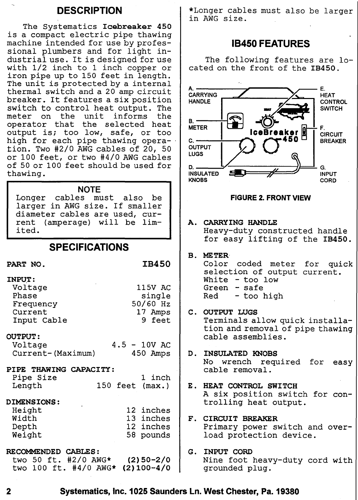### DESCRIPTION

The Systematics Icebreaker 450 is a compact electric pipe thawing machine intended for use by professional plumbers and for light industrial use. It is designed for use with 1/2 inch to 1 inch copper or iron pipe up to 150 feet in length. The unit is protected by a internal thermal switch and a 20 amp circuit breaker. It features a six position switch to control heat output. The meter on the unit informs the operator that the selected heat output is; too low, safe, or too high for each pipe thawing opera- . tion. Two #2/0 AWG cables of 20, 50 or 100 feet, or two #4/0 AWG cables of 50 or 100 feet should be used for thawing.

### **NOTE**

Longer cables must also be larger in AWG size. If smaller diameter cables are used, current (amperage) will be limited.

### SPECIFICATIONS

### IB450

| INPUT:       |          |
|--------------|----------|
| ٠<br>Voltage | 115V AC  |
| Phase        | single   |
| Frequency    | 50/60 Hz |
| Current      | 17 Amps  |
| Input Cable  | 9 feet   |

### OUTPUT:

PART NO.

| Voltage           |  | $4.5 - 10V$ AC |
|-------------------|--|----------------|
| Current-(Maximum) |  | 450 Amps       |

### PIPE THAWING CAPACITY: Pipe Size

| Pipe Size |  | 1 inch            |
|-----------|--|-------------------|
| Length    |  | 150 feet $(max.)$ |

### DIMENSIONS:

| Height | 12 inches |
|--------|-----------|
| Width  | 13 inches |
| Depth  | 12 inches |
| Weight | 58 pounds |

## RECOMMENDED CABLES:

two 50 ft. #2/0 AWG\* (2)50-2/0 two 100 ft. #4/0 AWG\* (2)100-4/0 \*Longer cables must also be larger in AWG size.

### 18450 FEATURES

The following features are located on the front of the IB450.



2 Systematics, Inc. 1025 Saunders Ln. West Chester, Pa. 19380

grounded plug.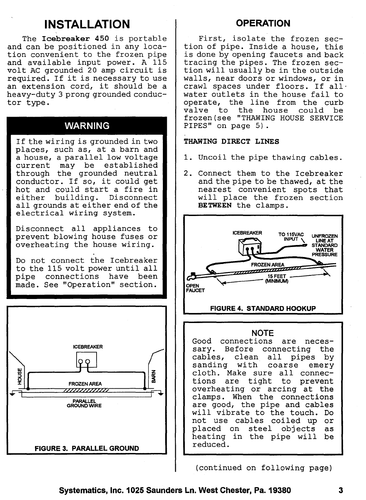## **INSTALLATION OPERATION**

The **Icebreaker 450** is portable and can be positioned in any location convenient to the frozen pipe and available input power. A 115 volt AC grounded 20 amp circuit is required. If it is necessary to use an extension cord, it should be a heavy-duty 3 prong grounded conductor type.

### **WARNING**

If the wiring is grounded in two places, such as, at a barn and a house, a parallel low voltage current may be established through the grounded neutral conductor. If so, it could get hot and could start a fire in either building. Disconnect all grounds at either end of the electrical wiring system.

Disconnect all appliances to prevent blowing house fuses or overheating the house wiring.

Do not connect the Icebreaker to the 115 volt power until all pipe connections have been made. See "Operation" section.



First, isolate the frozen section of pipe. Inside a house, this is done by opening faucets and back tracing the pipes. The frozen section will usually be in the outside walls, near doors or windows, or in crawl spaces under floors. If allwater outlets in the house fail to operate, the line from the curb valve to the house could be frozen(see "THAWING HOUSE SERVICE PIPES" on page 5).

### **THAWING DIRECT LINES**

- 1. Uncoil the pipe thawing cables.
- 2. Connect them to the Icebreaker and the pipe to be thawed, at the nearest convenient spots that will place the frozen section **BETWEEN** the clamps.



overheating or arcing at the clamps. When the connections are good, the pipe and cables will vibrate to the touch. Do not use cables coiled up or placed on steel objects as<br>heating in the pipe will be heating in the pipe will reduced.

(continued on following page)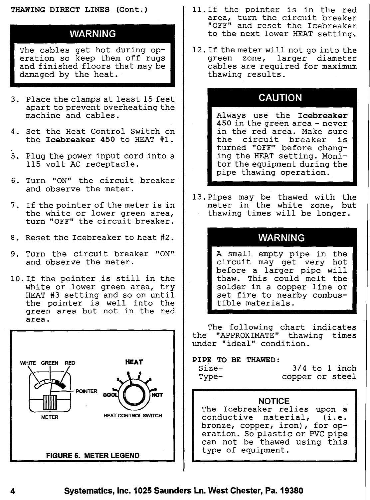### THAWING DIRECT LINES (Cont.)

### WARNING

The cables get hot during operation so keep them off rugs and finished floors that may be damaged by the heat.

- 3. Place the clamps at least 15 feet apart to prevent overheating the machine and cables.
- 4. Set the Heat Control Switch on the Icebreaker <sup>450</sup> to HEAT #1.
- 5. Plug the power input cord into a 115 volt AC receptacle.
- 6. Turn "ON" the circuit breaker and observe the meter.
- 7. If the pointer of the meter is in the white or lower green area, turn "OFF" the circuit breaker.
- 8. Reset the Icebreaker to heat #2. WARNING
- 9. Turn the circuit breaker "ON" and observe the meter.
- 10. If the pointer is still in the white or lower green area, try HEAT #3 setting and so on until the pointer is well into the green area but not in the red area.



- 11. If the pointer is in the red area, turn the circuit breaker "OFF" and reset the Icebreaker to the next lower HEAT setting.
- 12. If the meter will not go into the green zone, larger diameter cables are required for maximum thawing results.

### CAUTION

Always use the Icebreaker 450 in the green area - never in the red area. Make sure the circuit breaker is turned "OFF" before changing the HEAT setting. Monitor the equipment during the pipe thawing operation.

13. Pipes may be thawed with the meter in the white zone, but thawing times will be longer.

A small empty pipe in the circuit may get very hot before a larger pipe will thaw. This could melt the solder in a copper line or set fire to nearby combustible materials.

The following chart indicates the "APPROXIMATE" thawing times under "ideal" condition.

### PIPE TO BE THAWED:

| $Size-$ |  |
|---------|--|
| Type-   |  |

3/4 to 1 inch copper or steel

### NOTICE

The Icebreaker relies upon a conductive material, (i.e. bronze, copper, iron), for operation. So plastic or PVC pipe can not be thawed using this type of equipment.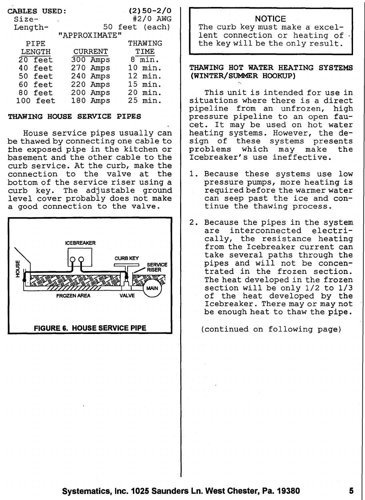| <b>CABLES USED:</b> | $(2)$ 50-2/0                                         |
|---------------------|------------------------------------------------------|
|                     | #2/0 AWG                                             |
|                     | 50 feet (each)                                       |
| "APPROXIMATE"       |                                                      |
|                     | THAWING                                              |
| CURRENT             | TIME                                                 |
|                     | $8 \overline{\min}$ .                                |
|                     | 10 min.                                              |
| 240 Amps            | 12 min.                                              |
|                     | 15 min.                                              |
|                     | min.<br>20                                           |
| 180                 | 25.<br>min.                                          |
|                     | 300 Amps<br>270 Amps<br>220 Amps<br>200 Amps<br>Amps |

### THAWING HOUSE SERVICE PIPES

House service pipes usually can be thawed by connecting one cable to the exposed pipe in the kitchen or basement and the other cable to the curb service. At the curb, make the connection to the valve at the bottom of the service riser using a curb key. The adjustable ground level cover probably does not make a good connection to the valve.



### **NOTICE**

The curb key must make a excellent connection or heating of the key will be the only result.

### THAWING HOT WATER HEATING SYSTEMS (WINTER/SUMMER HOOKUP)

This unit is intended for use in situations where there is a direct pipeline from an unfrozen, high pressure pipeline to an open faucet. It may be used on hot water heating systems. However, the de-<br>sign of these systems presents sign of these systems presents<br>problems which may make the problems which may make the Icebreaker's use ineffective.

- 1. Because these systems use low pressure pumps, more heating is required before the warmer water can seep past the ice and continue the thawing process.
- 2. Because the pipes in the system<br>are interconnected electriare interconnected cally, the resistance heating from the Icebreaker current can take several paths through the pipes and will not be concentrated in the frozen section. The heat developed in the frozen section will be only 1/2 to 1/3 of the heat developed by the Icebreaker. There mayor may not be enough heat to thaw the pipe.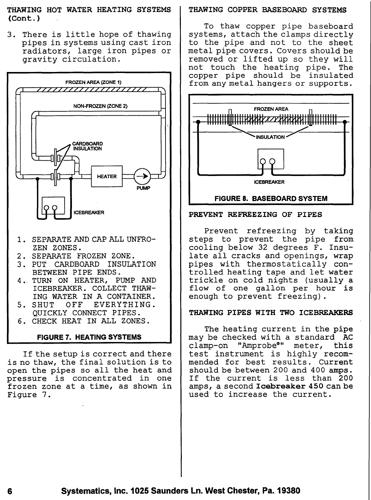THAWING HOT WATER HEATING SYSTEMS (Cont. )

3. There is little hope of thawing pipes in systems using cast iron radiators, large iron pipes or gravity circulation.



- 1. SEPARATE AND CAP ALL UNFRO-ZEN ZONES.
- 2. SEPARATE FROZEN ZONE.
- 3. PUT CARDBOARD INSULATION BETWEEN PIPE ENDS.
- 4., TURN ON HEATER, PUMP AND ICEBREAKER. COLLECT THAW-ING WATER IN A CONTAINER.
- 5. SHUT OFF EVERYTHING. QUICKLY CONNECT PIPES.
- 6. CHECK HEAT IN ALL ZONES.

### **FIGURE 7. HEATING SYSTEMS**

If the setup is correct and there is no thaw, the final solution is to open the pipes so all the heat and pressure is concentrated in one frozen zone at a time, as shown in Figure 7.

### THAWING COPPER BASEBOARD SYSTEMS

To thaw copper pipe baseboard systems, attach the clamps directly to the pipe and not to the sheet metal pipe covers. Covers should be removed or lifted up so they will not touch the heating pipe. The copper pipe should be insulated from any metal hangers or supports.



### PREVENT REFREEZING OF PIPES

Prevent refreezing by taking steps to prevent the pipe from cooling below 32 degrees F. Insulate all cracks and openings, wrap pipes with thermostatically controlled heating tape and let water trickle on cold nights (usually a flow of one gallon per hour is enough to prevent freezing).

### THAWING PIPES WITH TWO ICEBREAKERS

The heating current in the pipe may be checked with a standard AC clamp-on "Amprobe®" meter, this test instrument is highly recommended for best results. Current should be between 200 and 400 amps. If the current is less than 200 amps, a second Icebreaker 450 can be used to increase the current.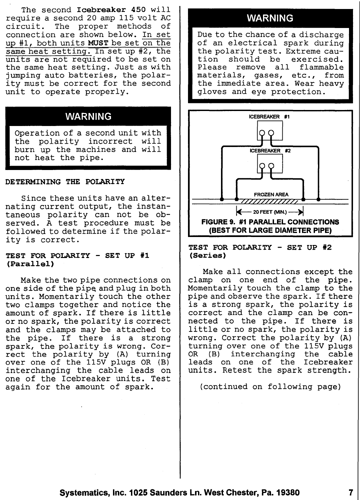The second Icebreaker 450 will require a second 20 amp 115 volt AC The proper methods of connection are shown below. In set up #1, both units MUST be set on the same heat setting. In set up #2, the units are not required to be set on the same heat setting. Just as with jumping auto batteries, the polarity must be correct for the second unit to operate properly.

### WARNING

Operation of a second unit with the polarity incorrect will burn up the machines and will not heat the pipe.

### DETERMINING THE POLARITY

Since these units have an alternating current output, the instantaneous polarity can not be observed. A test procedure must be followed to determine if the polarity is correct.

### TEST FOR POLARITY - SET UP #1 (Parallel)

Make the two pipe connections on one side of the pipe and plug in both units. Momentarily touch the other two clamps together and notice the amount of spark. If there is little or no spark, the polarity is correct and the clamps may be attached to the pipe. If there is a strong spark, the polarity is wrong. Correct the polarity by (A) turning over one of the 115V plugs OR (B) interchanging the cable leads on one of the Icebreaker units. Test again for the amount of spark.

### **WARNING**

Due to the chance of a discharge of an electrical spark during the polarity test. Extreme cau-<br>tion should be exercised. should be exercised. Please remove all flammable materials, gases, etc., from the immediate area. Wear heavy gloves and eye protection.



TEST FOR POLARITY - SET UP #2 (Series)

Make all connections except the clamp on one end of the pipe. Momentarily touch the clamp to the pipe and observe the spark. If there is a strong spark, the polarity is correct and the clamp can be connected to the pipe. If there is Iittle or no spark, the polarity is wrong. Correct the polarity by (A) turning over one of the 115V plugs interchanging the cable leads on one of the Icebreaker units. Retest the spark strength.

(continued on following page)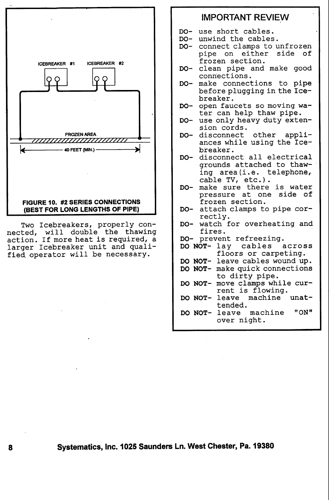

Two Icebreakers, properly connected, will double the thawing action. If more heat is required, a larger Icebreaker unit and qualified operator will be necessary.

- IMPORTANT REVIEW
- 00- use short cables.
- DO- unwind the cables.
- 00- connect clamps to unfrozen pipe on either side of frozen section.
- 00- clean pipe and make good connections.
- 00- make connections to pipe before plugging in the Icebreaker.
- 00- open faucets so moving water can help thaw pipe.
- 00- use only heavy duty extension cords.
- 00- disconnect other appliances while using the Icebreaker.
- 00- disconnect all electrical grounds attached to thawing area (i.e. telephone, cable TV, etc.).
- 00- make sure there is water pressure at one side of frozen section.
- 00- attach clamps to pipe correctly.
- 00- watch for overheating and fires.
- 
- DO- prevent refreezing.<br>DO NOT- lav cables across DO NOT- lay cables floors or carpeting.
- DO NOT- leave cables wound up.
- 00 NOT- make quick connections to dirty pipe.
- DO NOT- move clamps while current is flowing.
- DO NOT- leave machine unattended.
- 00 NOT- leave machine "ON" over night.

8 Systematics, Inc. 1025 Saunders Ln. West Chester, Pa. 19380